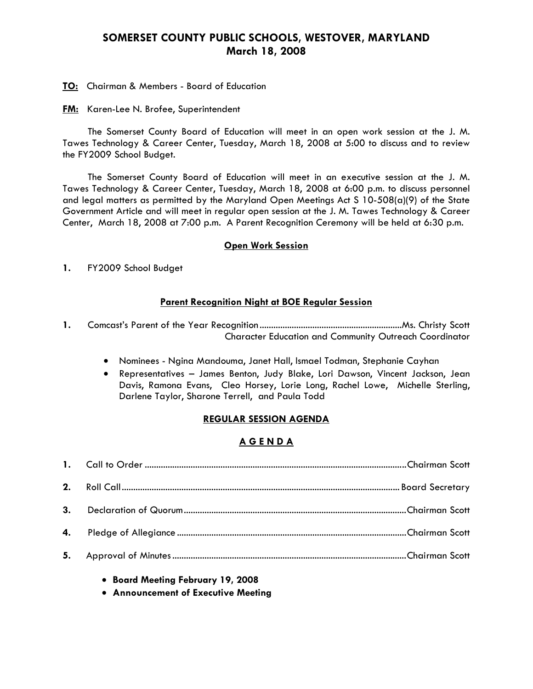# **SOMERSET COUNTY PUBLIC SCHOOLS, WESTOVER, MARYLAND March 18, 2008**

**TO:** Chairman & Members - Board of Education

**FM:** Karen-Lee N. Brofee, Superintendent

 The Somerset County Board of Education will meet in an open work session at the J. M. Tawes Technology & Career Center, Tuesday, March 18, 2008 at 5:00 to discuss and to review the FY2009 School Budget.

The Somerset County Board of Education will meet in an executive session at the J. M. Tawes Technology & Career Center, Tuesday, March 18, 2008 at 6:00 p.m. to discuss personnel and legal matters as permitted by the Maryland Open Meetings Act S 10-508(a)(9) of the State Government Article and will meet in regular open session at the J. M. Tawes Technology & Career Center, March 18, 2008 at 7:00 p.m. A Parent Recognition Ceremony will be held at 6:30 p.m.

#### **Open Work Session**

**1.** FY2009 School Budget

#### **Parent Recognition Night at BOE Regular Session**

- **1.** Comcast's Parent of the Year Recognition..............................................................Ms. Christy Scott Character Education and Community Outreach Coordinator
	- Nominees Ngina Mandouma, Janet Hall, Ismael Todman, Stephanie Cayhan
	- Representatives James Benton, Judy Blake, Lori Dawson, Vincent Jackson, Jean Davis, Ramona Evans, Cleo Horsey, Lorie Long, Rachel Lowe, Michelle Sterling, Darlene Taylor, Sharone Terrell, and Paula Todd

### **REGULAR SESSION AGENDA**

# **A G E N D A**

- **Board Meeting February 19, 2008**
- **Announcement of Executive Meeting**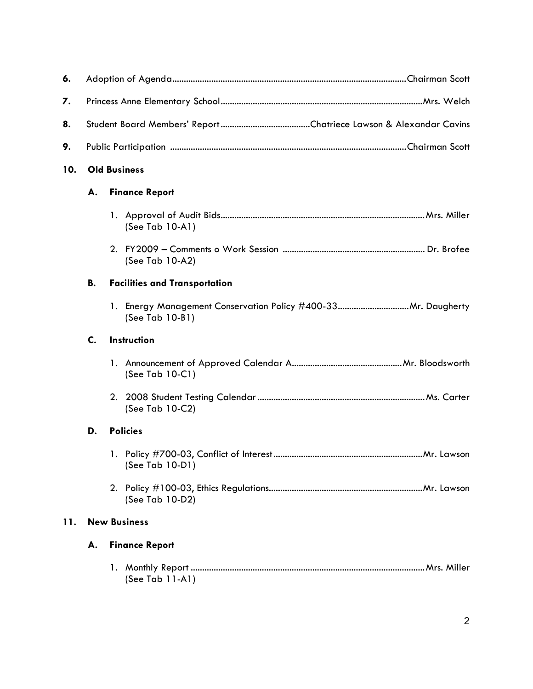| 6.                    |                                            |  |                    |
|-----------------------|--------------------------------------------|--|--------------------|
| 7.                    |                                            |  |                    |
| 8.                    |                                            |  |                    |
| 9.                    |                                            |  |                    |
| 10.                   | <b>Old Business</b>                        |  |                    |
|                       | <b>Finance Report</b><br>А.                |  |                    |
|                       |                                            |  | (See Tab 10-A1)    |
|                       |                                            |  | (See Tab 10-A2)    |
|                       | В.<br><b>Facilities and Transportation</b> |  |                    |
|                       |                                            |  | (See Tab 10-B1)    |
|                       | C.<br>Instruction                          |  |                    |
|                       |                                            |  | (See Tab 10-C1)    |
|                       |                                            |  | (See Tab 10-C2)    |
| <b>Policies</b><br>D. |                                            |  |                    |
|                       |                                            |  | (See Tab 10-D1)    |
|                       |                                            |  | (See Tab 10-D2)    |
| 11.                   | <b>New Business</b>                        |  |                    |
|                       | <b>Finance Report</b><br>А.                |  |                    |
|                       |                                            |  | (See Tab $11-A1$ ) |